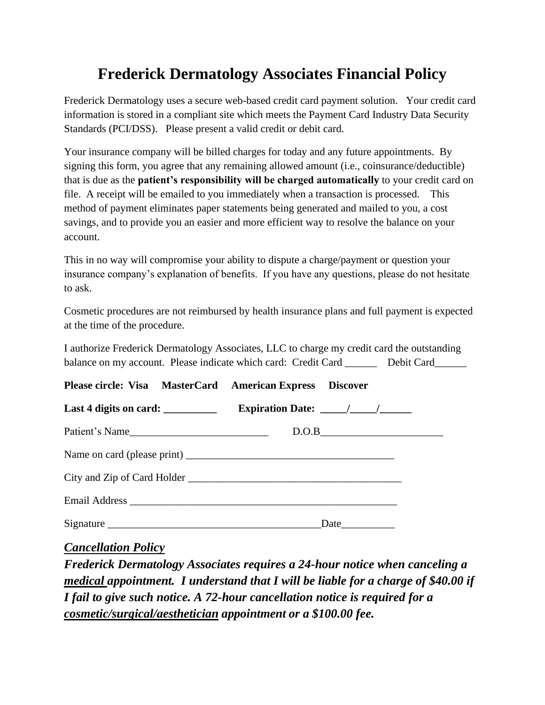### **Frederick Dermatology Associates Financial Policy**

Frederick Dermatology uses a secure web-based credit card payment solution. Your credit card information is stored in a compliant site which meets the Payment Card Industry Data Security Standards (PCI/DSS). Please present a valid credit or debit card.

Your insurance company will be billed charges for today and any future appointments. By signing this form, you agree that any remaining allowed amount (i.e., coinsurance/deductible) that is due as the **patient's responsibility will be charged automatically** to your credit card on file. A receipt will be emailed to you immediately when a transaction is processed. This method of payment eliminates paper statements being generated and mailed to you, a cost savings, and to provide you an easier and more efficient way to resolve the balance on your account.

This in no way will compromise your ability to dispute a charge/payment or question your insurance company's explanation of benefits. If you have any questions, please do not hesitate to ask.

Cosmetic procedures are not reimbursed by health insurance plans and full payment is expected at the time of the procedure.

I authorize Frederick Dermatology Associates, LLC to charge my credit card the outstanding balance on my account. Please indicate which card: Credit Card Debit Card

| Please circle: Visa MasterCard American Express Discover |                                       |  |
|----------------------------------------------------------|---------------------------------------|--|
| Last 4 digits on card: ___________                       | Expiration Date: $\frac{\sqrt{2}}{2}$ |  |
| Patient's Name                                           | D.O.B                                 |  |
|                                                          |                                       |  |
|                                                          |                                       |  |
|                                                          |                                       |  |
| Signature                                                |                                       |  |

*Cancellation Policy*

*Frederick Dermatology Associates requires a 24-hour notice when canceling a medical appointment. I understand that I will be liable for a charge of \$40.00 if I fail to give such notice. A 72-hour cancellation notice is required for a cosmetic/surgical/aesthetician appointment or a \$100.00 fee.*